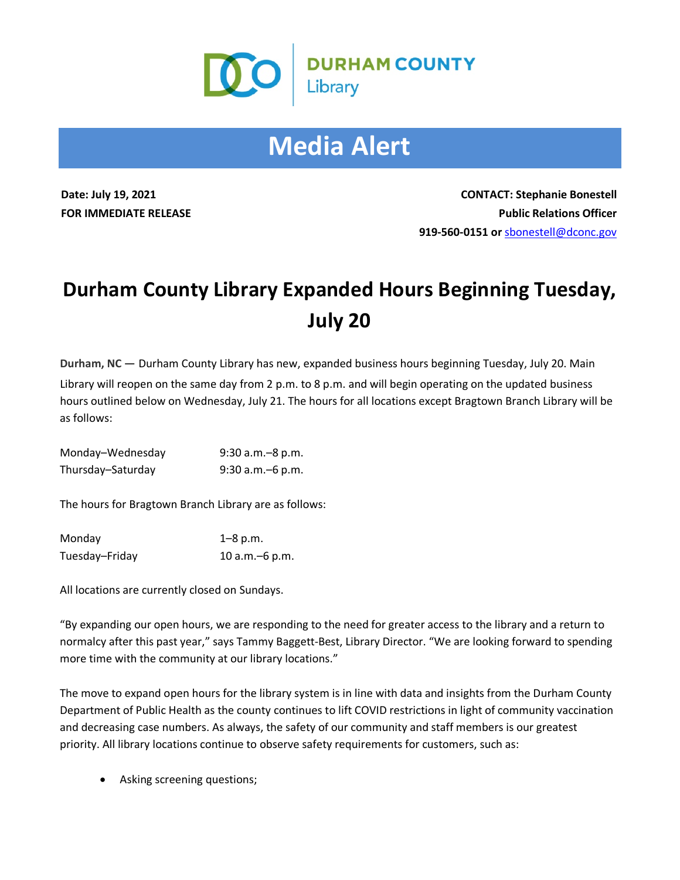

## **Media Alert**

**Date: July 19, 2021 CONTACT: Stephanie Bonestell FOR IMMEDIATE RELEASE Public Relations Officer 919-560-0151 or** [sbonestell@dconc.gov](mailto:sbonestell@dconc.gov)

## **Durham County Library Expanded Hours Beginning Tuesday, July 20**

**Durham, NC —** Durham County Library has new, expanded business hours beginning Tuesday, July 20. Main

Library will reopen on the same day from 2 p.m. to 8 p.m. and will begin operating on the updated business hours outlined below on Wednesday, July 21. The hours for all locations except Bragtown Branch Library will be as follows:

| Monday-Wednesday  | $9:30$ a.m. $-8$ p.m. |
|-------------------|-----------------------|
| Thursday-Saturday | 9:30 a.m. - 6 p.m.    |

The hours for Bragtown Branch Library are as follows:

| Monday         | $1 - 8$ p.m.     |
|----------------|------------------|
| Tuesday-Friday | 10 $a.m.-6 p.m.$ |

All locations are currently closed on Sundays.

"By expanding our open hours, we are responding to the need for greater access to the library and a return to normalcy after this past year," says Tammy Baggett-Best, Library Director. "We are looking forward to spending more time with the community at our library locations."

The move to expand open hours for the library system is in line with data and insights from the Durham County Department of Public Health as the county continues to lift COVID restrictions in light of community vaccination and decreasing case numbers. As always, the safety of our community and staff members is our greatest priority. All library locations continue to observe safety requirements for customers, such as:

• Asking screening questions;